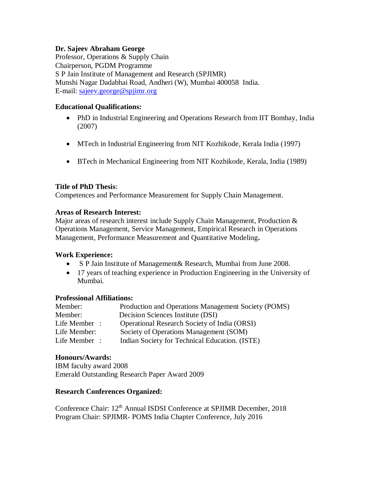## **Dr. Sajeev Abraham George**

Professor, Operations & Supply Chain Chairperson, PGDM Programme S P Jain Institute of Management and Research (SPJIMR) Munshi Nagar Dadabhai Road, Andheri (W), Mumbai 400058 India. E-mail: [sajeev.george@spjimr.org](mailto:sajeev.george@spjimr.org)

# **Educational Qualifications:**

- PhD in Industrial Engineering and Operations Research from IIT Bombay, India (2007)
- MTech in Industrial Engineering from NIT Kozhikode, Kerala India (1997)
- BTech in Mechanical Engineering from NIT Kozhikode, Kerala, India (1989)

# **Title of PhD Thesis**:

Competences and Performance Measurement for Supply Chain Management.

# **Areas of Research Interest:**

Major areas of research interest include Supply Chain Management, Production & Operations Management, Service Management, Empirical Research in Operations Management, Performance Measurement and Quantitative Modeling**.**

## **Work Experience:**

- S P Jain Institute of Management& Research, Mumbai from June 2008.
- 17 years of teaching experience in Production Engineering in the University of Mumbai.

## **Professional Affiliations:**

| Member:      | Production and Operations Management Society (POMS) |
|--------------|-----------------------------------------------------|
| Member:      | Decision Sciences Institute (DSI)                   |
| Life Member: | <b>Operational Research Society of India (ORSI)</b> |
| Life Member: | Society of Operations Management (SOM)              |
| Life Member: | Indian Society for Technical Education. (ISTE)      |

## **Honours/Awards:**

IBM faculty award 2008 Emerald Outstanding Research Paper Award 2009

## **Research Conferences Organized:**

Conference Chair: 12<sup>th</sup> Annual ISDSI Conference at SPJIMR December, 2018 Program Chair: SPJIMR- POMS India Chapter Conference, July 2016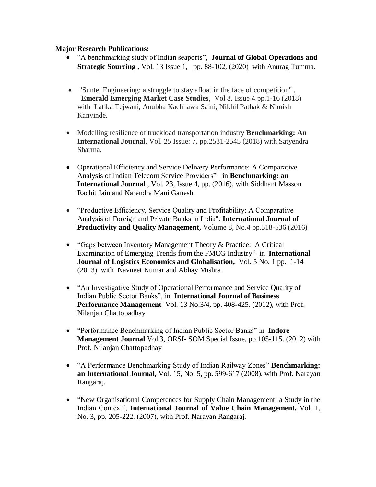## **Major Research Publications:**

- "A benchmarking study of Indian seaports", **Journal of Global Operations and Strategic Sourcing** , Vol. 13 Issue 1, pp. 88-102, (2020) with Anurag Tumma.
- "Suntej Engineering: a struggle to stay afloat in the face of competition" , **Emerald Emerging Market Case Studies**, Vol 8. Issue 4 pp.1-16 (2018) with Latika Tejwani, Anubha Kachhawa Saini, Nikhil Pathak & Nimish Kanvinde.
- Modelling resilience of truckload transportation industry **Benchmarking: An International Journal**, Vol. 25 Issue: 7, pp.2531-2545 (2018) with Satyendra Sharma.
- Operational Efficiency and Service Delivery Performance: A Comparative Analysis of Indian Telecom Service Providers" in **Benchmarking: an International Journal** , Vol. 23, Issue 4, pp. (2016), with Siddhant Masson Rachit Jain and Narendra Mani Ganesh.
- "Productive Efficiency, Service Quality and Profitability: A Comparative Analysis of Foreign and Private Banks in India". **International Journal of Productivity and Quality Management,** Volume 8, No.4 pp.518-536 (2016**)**
- "Gaps between Inventory Management Theory & Practice: A Critical Examination of Emerging Trends from the FMCG Industry" in **International Journal of Logistics Economics and Globalisation,** Vol. 5 No. 1 pp. 1-14 (2013) with Navneet Kumar and Abhay Mishra
- "An Investigative Study of Operational Performance and Service Quality of Indian Public Sector Banks", in **International Journal of Business Performance Management** Vol. 13 No.3/4, pp. 408-425. (2012), with Prof. Nilanjan Chattopadhay
- "Performance Benchmarking of Indian Public Sector Banks" in **Indore Management Journal** Vol.3, ORSI- SOM Special Issue, pp 105-115. (2012) with Prof. Nilanjan Chattopadhay
- "A Performance Benchmarking Study of Indian Railway Zones" **Benchmarking: an International Journal,** Vol. 15, No. 5, pp. 599-617 (2008), with Prof. Narayan Rangaraj.
- "New Organisational Competences for Supply Chain Management: a Study in the Indian Context", **International Journal of Value Chain Management,** Vol. 1, No. 3, pp. 205-222. (2007), with Prof. Narayan Rangaraj.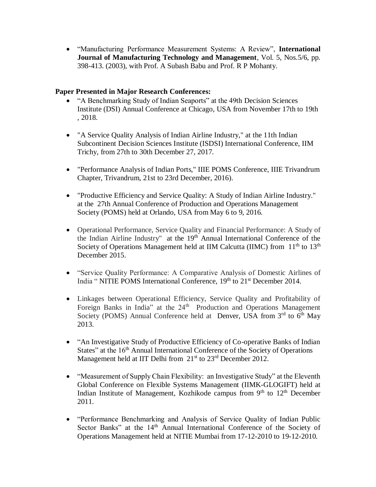"Manufacturing Performance Measurement Systems: A Review", **International Journal of Manufacturing Technology and Management**, Vol. 5, Nos.5/6, pp. 398-413. (2003), with Prof. A Subash Babu and Prof. R P Mohanty.

# **Paper Presented in Major Research Conferences:**

- "A Benchmarking Study of Indian Seaports" at the 49th Decision Sciences Institute (DSI) Annual Conference at Chicago, USA from November 17th to 19th , 2018.
- "A Service Quality Analysis of Indian Airline Industry," at the 11th Indian Subcontinent Decision Sciences Institute (ISDSI) International Conference, IIM Trichy, from 27th to 30th December 27, 2017.
- "Performance Analysis of Indian Ports," IIIE POMS Conference, IIIE Trivandrum Chapter, Trivandrum, 21st to 23rd December, 2016).
- "Productive Efficiency and Service Quality: A Study of Indian Airline Industry." at the 27th Annual Conference of Production and Operations Management Society (POMS) held at Orlando, USA from May 6 to 9, 2016.
- Operational Performance, Service Quality and Financial Performance: A Study of the Indian Airline Industry" at the  $19<sup>th</sup>$  Annual International Conference of the Society of Operations Management held at IIM Calcutta (IIMC) from 11<sup>th</sup> to 13<sup>th</sup> December 2015.
- "Service Quality Performance: A Comparative Analysis of Domestic Airlines of India " NITIE POMS International Conference, 19<sup>th</sup> to 21<sup>st</sup> December 2014.
- Linkages between Operational Efficiency, Service Quality and Profitability of Foreign Banks in India" at the 24<sup>th</sup> Production and Operations Management Society (POMS) Annual Conference held at Denver, USA from  $3<sup>rd</sup>$  to  $6<sup>th</sup>$  May 2013.
- "An Investigative Study of Productive Efficiency of Co-operative Banks of Indian States" at the 16<sup>th</sup> Annual International Conference of the Society of Operations Management held at IIT Delhi from  $21<sup>st</sup>$  to  $23<sup>rd</sup>$  December 2012.
- "Measurement of Supply Chain Flexibility: an Investigative Study" at the Eleventh Global Conference on Flexible Systems Management (IIMK-GLOGIFT) held at Indian Institute of Management, Kozhikode campus from  $9<sup>th</sup>$  to  $12<sup>th</sup>$  December 2011.
- "Performance Benchmarking and Analysis of Service Quality of Indian Public Sector Banks" at the 14<sup>th</sup> Annual International Conference of the Society of Operations Management held at NITIE Mumbai from 17-12-2010 to 19-12-2010.